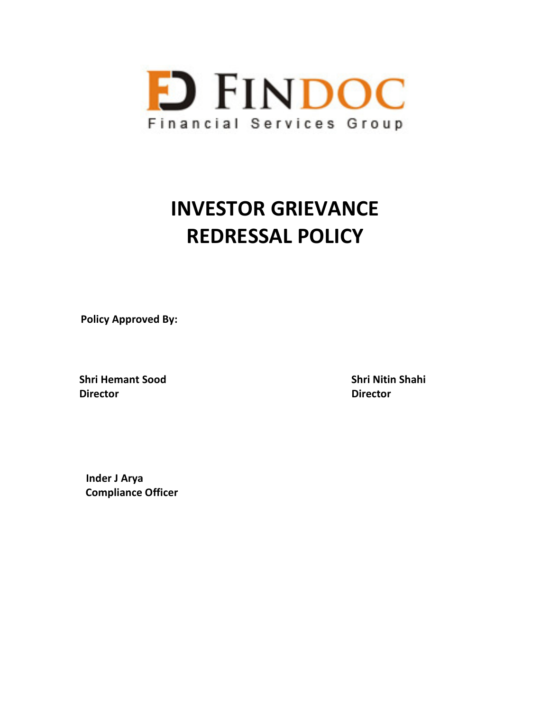

# **INVESTOR GRIEVANCE REDRESSAL POLICY**

**Policy Approved By:** 

**Shri Hemant Sood Shri Nitin Shahi Director Director**

 **Inder J Arya Compliance Officer**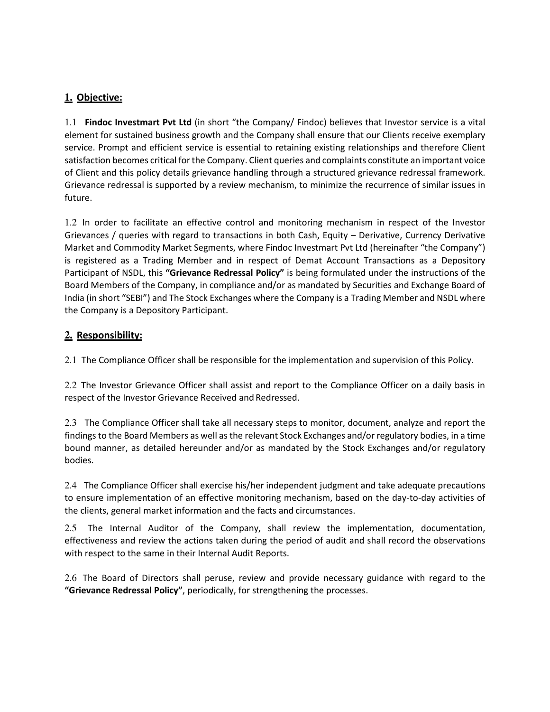## **1. Objective:**

1.1 **Findoc Investmart Pvt Ltd** (in short "the Company/ Findoc) believes that Investor service is a vital element for sustained business growth and the Company shall ensure that our Clients receive exemplary service. Prompt and efficient service is essential to retaining existing relationships and therefore Client satisfaction becomes critical for the Company. Client queries and complaints constitute an important voice of Client and this policy details grievance handling through a structured grievance redressal framework. Grievance redressal is supported by a review mechanism, to minimize the recurrence of similar issues in future.

1.2 In order to facilitate an effective control and monitoring mechanism in respect of the Investor Grievances / queries with regard to transactions in both Cash, Equity – Derivative, Currency Derivative Market and Commodity Market Segments, where Findoc Investmart Pvt Ltd (hereinafter "the Company") is registered as a Trading Member and in respect of Demat Account Transactions as a Depository Participant of NSDL, this **"Grievance Redressal Policy"** is being formulated under the instructions of the Board Members of the Company, in compliance and/or as mandated by Securities and Exchange Board of India (in short "SEBI") and The Stock Exchanges where the Company is a Trading Member and NSDL where the Company is a Depository Participant.

## **2. Responsibility:**

2.1 The Compliance Officer shall be responsible for the implementation and supervision of this Policy.

2.2 The Investor Grievance Officer shall assist and report to the Compliance Officer on a daily basis in respect of the Investor Grievance Received and Redressed.

2.3 The Compliance Officer shall take all necessary steps to monitor, document, analyze and report the findings to the Board Members as well as the relevant Stock Exchanges and/or regulatory bodies, in a time bound manner, as detailed hereunder and/or as mandated by the Stock Exchanges and/or regulatory bodies.

2.4 The Compliance Officer shall exercise his/her independent judgment and take adequate precautions to ensure implementation of an effective monitoring mechanism, based on the day-to-day activities of the clients, general market information and the facts and circumstances.

2.5 The Internal Auditor of the Company, shall review the implementation, documentation, effectiveness and review the actions taken during the period of audit and shall record the observations with respect to the same in their Internal Audit Reports.

2.6 The Board of Directors shall peruse, review and provide necessary guidance with regard to the **"Grievance Redressal Policy"**, periodically, for strengthening the processes.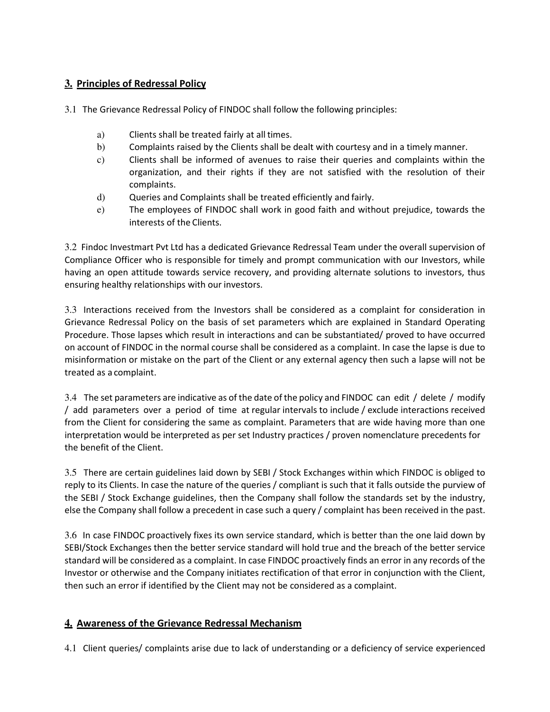## **3. Principles of Redressal Policy**

3.1 The Grievance Redressal Policy of FINDOC shall follow the following principles:

- a) Clients shall be treated fairly at all times.
- b) Complaints raised by the Clients shall be dealt with courtesy and in a timely manner.
- c) Clients shall be informed of avenues to raise their queries and complaints within the organization, and their rights if they are not satisfied with the resolution of their complaints.
- d) Queries and Complaints shall be treated efficiently and fairly.
- e) The employees of FINDOC shall work in good faith and without prejudice, towards the interests of the Clients.

3.2 Findoc Investmart Pvt Ltd has a dedicated Grievance Redressal Team under the overall supervision of Compliance Officer who is responsible for timely and prompt communication with our Investors, while having an open attitude towards service recovery, and providing alternate solutions to investors, thus ensuring healthy relationships with our investors.

3.3 Interactions received from the Investors shall be considered as a complaint for consideration in Grievance Redressal Policy on the basis of set parameters which are explained in Standard Operating Procedure. Those lapses which result in interactions and can be substantiated/ proved to have occurred on account of FINDOC in the normal course shall be considered as a complaint. In case the lapse is due to misinformation or mistake on the part of the Client or any external agency then such a lapse will not be treated as a complaint.

3.4 The set parameters are indicative as of the date of the policy and FINDOC can edit / delete / modify / add parameters over a period of time at regular intervals to include / exclude interactions received from the Client for considering the same as complaint. Parameters that are wide having more than one interpretation would be interpreted as per set Industry practices / proven nomenclature precedents for the benefit of the Client.

3.5 There are certain guidelines laid down by SEBI / Stock Exchanges within which FINDOC is obliged to reply to its Clients. In case the nature of the queries / compliant is such that it falls outside the purview of the SEBI / Stock Exchange guidelines, then the Company shall follow the standards set by the industry, else the Company shall follow a precedent in case such a query / complaint has been received in the past.

3.6 In case FINDOC proactively fixes its own service standard, which is better than the one laid down by SEBI/Stock Exchanges then the better service standard will hold true and the breach of the better service standard will be considered as a complaint. In case FINDOC proactively finds an error in any records of the Investor or otherwise and the Company initiates rectification of that error in conjunction with the Client, then such an error if identified by the Client may not be considered as a complaint.

## **4. Awareness of the Grievance Redressal Mechanism**

4.1 Client queries/ complaints arise due to lack of understanding or a deficiency of service experienced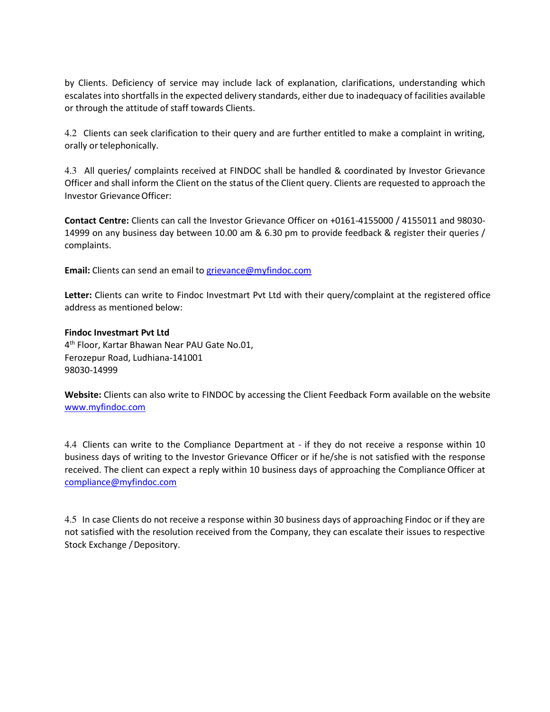by Clients. Deficiency of service may include lack of explanation, clarifications, understanding which escalates into shortfalls in the expected delivery standards, either due to inadequacy of facilities available or through the attitude of staff towards Clients.

4.2 Clients can seek clarification to their query and are further entitled to make a complaint in writing, orally or telephonically.

4.3 All queries/ complaints received at FINDOC shall be handled & coordinated by Investor Grievance Officer and shall inform the Client on the status of the Client query. Clients are requested to approach the Investor Grievance Officer:

**Contact Centre:** Clients can call the Investor Grievance Officer on +0161-4155000 / 4155011 and 98030- 14999 on any business day between 10.00 am & 6.30 pm to provide feedback & register their queries / complaints.

**Email:** Clients can send an email to grievance@myfindoc.com

**Letter:** Clients can write to Findoc Investmart Pvt Ltd with their query/complaint at the registered office address as mentioned below:

#### **Findoc Investmart Pvt Ltd**

4 th Floor, Kartar Bhawan Near PAU Gate No.01, Ferozepur Road, Ludhiana-141001 98030-14999

**Website:** Clients can also write to FINDOC by accessing the Client Feedback Form available on the website www.myfindoc.com

4.4 Clients can write to the Compliance Department at - if they do not receive a response within 10 business days of writing to the Investor Grievance Officer or if he/she is not satisfied with the response received. The client can expect a reply within 10 business days of approaching the Compliance Officer at compliance@myfindoc.com

4.5 In case Clients do not receive a response within 30 business days of approaching Findoc or if they are not satisfied with the resolution received from the Company, they can escalate their issues to respective Stock Exchange / Depository.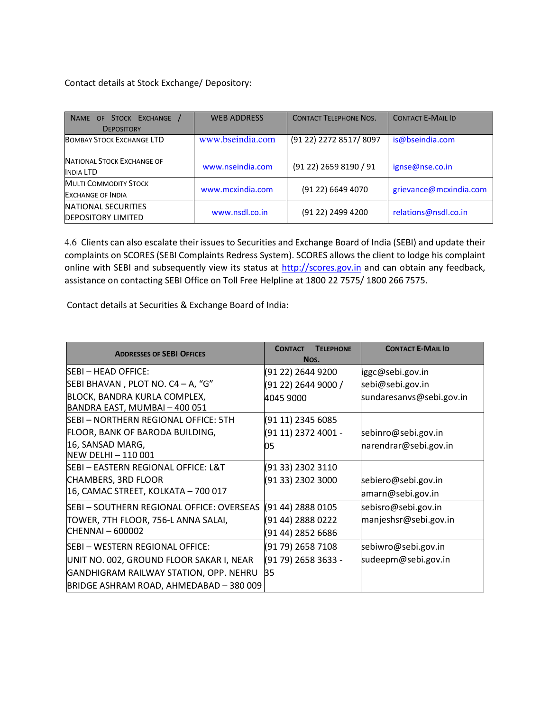Contact details at Stock Exchange/ Depository:

| NAME OF STOCK EXCHANGE<br><b>DEPOSITORY</b>              | <b>WEB ADDRESS</b> | <b>CONTACT TELEPHONE NOS.</b> | <b>CONTACT E-MAIL ID</b> |
|----------------------------------------------------------|--------------------|-------------------------------|--------------------------|
| <b>BOMBAY STOCK EXCHANGE LTD</b>                         | www.bseindia.com   | (91 22) 2272 8517/8097        | is@bseindia.com          |
| <b>NATIONAL STOCK EXCHANGE OF</b><br>INDIA LTD           | www.nseindia.com   | (91 22) 2659 8190 / 91        | ignse@nse.co.in          |
| <b>MULTI COMMODITY STOCK</b><br><b>EXCHANGE OF INDIA</b> | www.mcxindia.com   | (91 22) 6649 4070             | grievance@mcxindia.com   |
| NATIONAL SECURITIES<br><b>DEPOSITORY LIMITED</b>         | www.nsdl.co.in     | (91 22) 2499 4200             | relations@nsdl.co.in     |

4.6 Clients can also escalate their issues to Securities and Exchange Board of India (SEBI) and update their complaints on SCORES (SEBI Complaints Redress System). SCORES allows the client to lodge his complaint online with SEBI and subsequently view its status at http://scores.gov.in and can obtain any feedback, assistance on contacting SEBI Office on Toll Free Helpline at 1800 22 7575/ 1800 266 7575.

Contact details at Securities & Exchange Board of India:

| <b>ADDRESSES OF SEBI OFFICES</b>                              | <b>CONTACT</b><br><b>TELEPHONE</b><br>Nos. | <b>CONTACT E-MAIL ID</b> |
|---------------------------------------------------------------|--------------------------------------------|--------------------------|
| SEBI - HEAD OFFICE:                                           | (91 22) 2644 9200                          | iggc@sebi.gov.in         |
| SEBI BHAVAN , PLOT NO. C4 – A, "G"                            | (91 22) 2644 9000 /                        | sebi@sebi.gov.in         |
| BLOCK, BANDRA KURLA COMPLEX,<br>BANDRA EAST, MUMBAI - 400 051 | 4045 9000                                  | sundaresanvs@sebi.gov.in |
| SEBI – NORTHERN REGIONAL OFFICE: 5TH                          | (91 11) 2345 6085                          |                          |
| FLOOR, BANK OF BARODA BUILDING,                               | (91 11) 2372 4001 -                        | sebinro@sebi.gov.in      |
| 16, SANSAD MARG,<br>NEW DELHI - 110 001                       | 05                                         | narendrar@sebi.gov.in    |
| SEBI – EASTERN REGIONAL OFFICE: L&T                           | (91 33) 2302 3110                          |                          |
| <b>CHAMBERS, 3RD FLOOR</b>                                    | (91 33) 2302 3000                          | sebiero@sebi.gov.in      |
| 16, CAMAC STREET, KOLKATA - 700 017                           |                                            | amarn@sebi.gov.in        |
| SEBI - SOUTHERN REGIONAL OFFICE: OVERSEAS                     | (91 44) 2888 0105                          | sebisro@sebi.gov.in      |
| TOWER, 7TH FLOOR, 756-L ANNA SALAI,                           | (91 44) 2888 0222                          | manjeshsr@sebi.gov.in    |
| CHENNAI - 600002                                              | (91 44) 2852 6686                          |                          |
| SEBI – WESTERN REGIONAL OFFICE:                               | (91 79) 2658 7108                          | sebiwro@sebi.gov.in      |
| UNIT NO. 002, GROUND FLOOR SAKAR I, NEAR                      | (91 79) 2658 3633 -                        | sudeepm@sebi.gov.in      |
| GANDHIGRAM RAILWAY STATION, OPP. NEHRU                        | 35                                         |                          |
| BRIDGE ASHRAM ROAD, AHMEDABAD - 380 009                       |                                            |                          |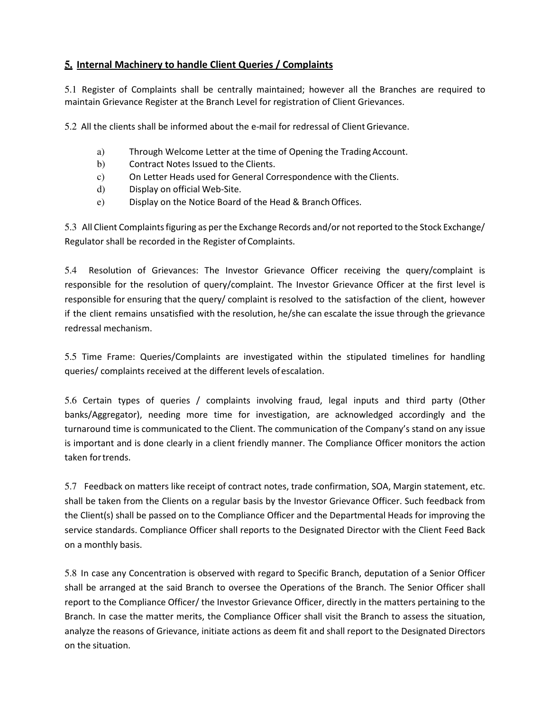## **5. Internal Machinery to handle Client Queries / Complaints**

5.1 Register of Complaints shall be centrally maintained; however all the Branches are required to maintain Grievance Register at the Branch Level for registration of Client Grievances.

5.2 All the clients shall be informed about the e-mail for redressal of Client Grievance.

- a) Through Welcome Letter at the time of Opening the Trading Account.
- b) Contract Notes Issued to the Clients.
- c) On Letter Heads used for General Correspondence with the Clients.
- d) Display on official Web-Site.
- e) Display on the Notice Board of the Head & Branch Offices.

5.3 All Client Complaints figuring as per the Exchange Records and/or not reported to the Stock Exchange/ Regulator shall be recorded in the Register of Complaints.

5.4 Resolution of Grievances: The Investor Grievance Officer receiving the query/complaint is responsible for the resolution of query/complaint. The Investor Grievance Officer at the first level is responsible for ensuring that the query/ complaint is resolved to the satisfaction of the client, however if the client remains unsatisfied with the resolution, he/she can escalate the issue through the grievance redressal mechanism.

5.5 Time Frame: Queries/Complaints are investigated within the stipulated timelines for handling queries/ complaints received at the different levels of escalation.

5.6 Certain types of queries / complaints involving fraud, legal inputs and third party (Other banks/Aggregator), needing more time for investigation, are acknowledged accordingly and the turnaround time is communicated to the Client. The communication of the Company's stand on any issue is important and is done clearly in a client friendly manner. The Compliance Officer monitors the action taken for trends.

5.7 Feedback on matters like receipt of contract notes, trade confirmation, SOA, Margin statement, etc. shall be taken from the Clients on a regular basis by the Investor Grievance Officer. Such feedback from the Client(s) shall be passed on to the Compliance Officer and the Departmental Heads for improving the service standards. Compliance Officer shall reports to the Designated Director with the Client Feed Back on a monthly basis.

5.8 In case any Concentration is observed with regard to Specific Branch, deputation of a Senior Officer shall be arranged at the said Branch to oversee the Operations of the Branch. The Senior Officer shall report to the Compliance Officer/ the Investor Grievance Officer, directly in the matters pertaining to the Branch. In case the matter merits, the Compliance Officer shall visit the Branch to assess the situation, analyze the reasons of Grievance, initiate actions as deem fit and shall report to the Designated Directors on the situation.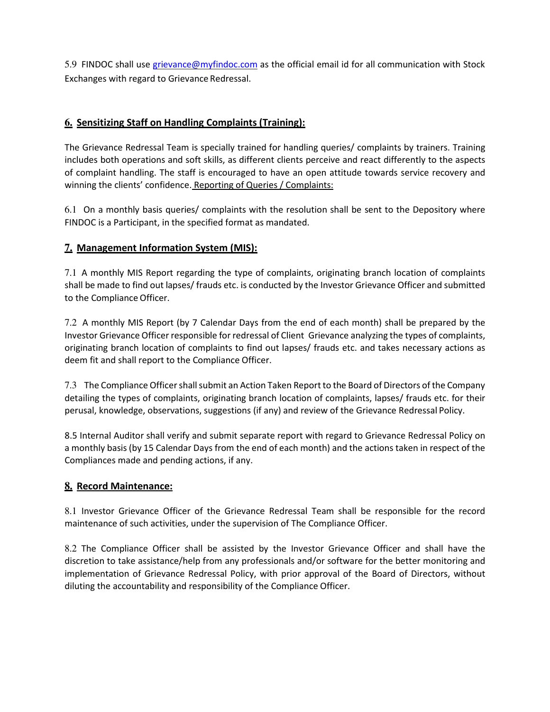5.9 FINDOC shall use grievance@myfindoc.com as the official email id for all communication with Stock Exchanges with regard to Grievance Redressal.

## **6. Sensitizing Staff on Handling Complaints (Training):**

The Grievance Redressal Team is specially trained for handling queries/ complaints by trainers. Training includes both operations and soft skills, as different clients perceive and react differently to the aspects of complaint handling. The staff is encouraged to have an open attitude towards service recovery and winning the clients' confidence. Reporting of Queries / Complaints:

6.1 On a monthly basis queries/ complaints with the resolution shall be sent to the Depository where FINDOC is a Participant, in the specified format as mandated.

## **7. Management Information System (MIS):**

7.1 A monthly MIS Report regarding the type of complaints, originating branch location of complaints shall be made to find out lapses/ frauds etc. is conducted by the Investor Grievance Officer and submitted to the Compliance Officer.

7.2 A monthly MIS Report (by 7 Calendar Days from the end of each month) shall be prepared by the Investor Grievance Officer responsible for redressal of Client Grievance analyzing the types of complaints, originating branch location of complaints to find out lapses/ frauds etc. and takes necessary actions as deem fit and shall report to the Compliance Officer.

7.3 The Compliance Officer shall submit an Action Taken Report to the Board of Directors of the Company detailing the types of complaints, originating branch location of complaints, lapses/ frauds etc. for their perusal, knowledge, observations, suggestions (if any) and review of the Grievance Redressal Policy.

8.5 Internal Auditor shall verify and submit separate report with regard to Grievance Redressal Policy on a monthly basis (by 15 Calendar Days from the end of each month) and the actions taken in respect of the Compliances made and pending actions, if any.

### **8. Record Maintenance:**

8.1 Investor Grievance Officer of the Grievance Redressal Team shall be responsible for the record maintenance of such activities, under the supervision of The Compliance Officer.

8.2 The Compliance Officer shall be assisted by the Investor Grievance Officer and shall have the discretion to take assistance/help from any professionals and/or software for the better monitoring and implementation of Grievance Redressal Policy, with prior approval of the Board of Directors, without diluting the accountability and responsibility of the Compliance Officer.